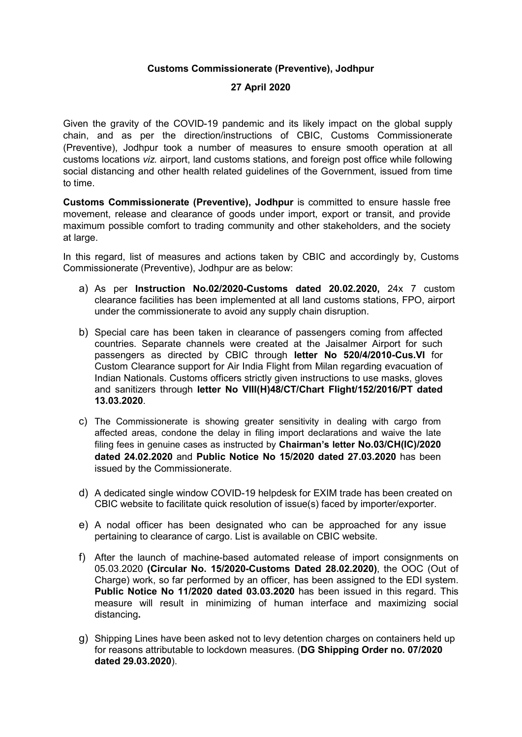## Customs Commissionerate (Preventive), Jodhpur

## 27 April 2020

Given the gravity of the COVID-19 pandemic and its likely impact on the global supply chain, and as per the direction/instructions of CBIC, Customs Commissionerate (Preventive), Jodhpur took a number of measures to ensure smooth operation at all customs locations viz. airport, land customs stations, and foreign post office while following social distancing and other health related guidelines of the Government, issued from time to time.

Customs Commissionerate (Preventive), Jodhpur is committed to ensure hassle free movement, release and clearance of goods under import, export or transit, and provide maximum possible comfort to trading community and other stakeholders, and the society at large.

In this reaard. list of measures and actions taken by CBIC and accordingly by, Customs Commissionerate (Preventive), Jodhpur are as below:

- a) As per Instruction No.02/2020-Customs dated 20.02.2020, 24x 7 custom clearance facilities has been implemented at all land customs stations, FPO, airport under the commissionerate to avoid any supply chain disruption.
- b) Special care has been taken in clearance of passengers coming from affected countries. Separate channels were created at the Jaisalmer Airport for such passengers as directed by CBIC through letter No 520/4/2010-Cus.VI for Custom Clearance support for Air India Flight from Milan regarding evacuation of Indian Nationals. Customs officers strictly given instructions to use masks, gloves and sanitizers through letter No VIII(H)48/CT/Chart Flight/152/2016/PT dated 13.03.2020.
- c) The Commissionerate is showing greater sensitivity in dealing with cargo from affected areas, condone the delay in filing import declarations and waive the late filing fees in genuine cases as instructed by Chairman's letter No.03/CH(IC)/2020 dated 24.02.2020 and Public Notice No 15/2020 dated 27.03.2020 has been issued by the Commissionerate.
- d) A dedicated single window COVID-19 helpdesk for EXIM trade has been created on CBIC website to facilitate quick resolution of issue(s) faced by importer/exporter.
- e) A nodal officer has been designated who can be approached for any issue pertaining to clearance of cargo. List is available on CBIC website.
- f) After the launch of machine-based automated release of import consignments on 05.03.2020 (Circular No. 15/2020-Customs Dated 28.02.2020), the OOC (Out of Charge) work, so far performed by an officer, has been assigned to the EDI system. Public Notice No 11/2020 dated 03.03.2020 has been issued in this regard. This measure will result in minimizing of human interface and maximizing social distancing.
- g) Shipping Lines have been asked not to levy detention charges on containers held up for reasons attributable to lockdown measures. (DG Shipping Order no. 07/2020 dated 29.03.2020).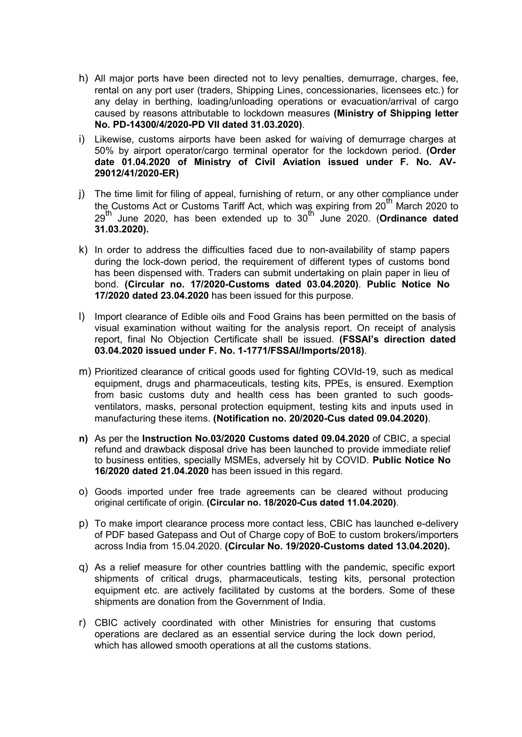- h) All major ports have been directed not to levy penalties, demurrage, charges, fee, rental on any port user (traders, Shipping Lines, concessionaries, licensees etc.) for any delay in berthing, loading/unloading operations or evacuation/arrival of cargo caused by reasons attributable to lockdown measures (Ministry of Shipping letter No. PD-14300/4/2020-PD VII dated 31.03.2020).
- i) Likewise, customs airports have been asked for waiving of demurrage charges at 50% by airport operator/cargo terminal operator for the lockdown period. (Order date 01.04.2020 of Ministry of Civil Aviation issued under F. No. AV-29012/41/2020-ER)
- j) The time limit for filing of appeal, furnishing of return, or any other compliance under the Customs Act or Customs Tariff Act, which was expiring from 20<sup>th</sup> March 2020 to  $29<sup>th</sup>$  June 2020, has been extended up to  $30<sup>th</sup>$  June 2020. (Ordinance dated 31.03.2020).
- k) In order to address the difficulties faced due to non-availability of stamp papers during the lock-down period, the requirement of different types of customs bond has been dispensed with. Traders can submit undertaking on plain paper in lieu of bond. (Circular no. 17/2020-Customs dated 03.04.2020). Public Notice No 17/2020 dated 23.04.2020 has been issued for this purpose.
- l) Import clearance of Edible oils and Food Grains has been permitted on the basis of visual examination without waiting for the analysis report. On receipt of analysis report, final No Objection Certificate shall be issued. (FSSAI's direction dated 03.04.2020 issued under F. No. 1-1771/FSSAI/Imports/2018).
- m) Prioritized clearance of critical goods used for fighting COVId-19, such as medical equipment, drugs and pharmaceuticals, testing kits, PPEs, is ensured. Exemption from basic customs duty and health cess has been granted to such goodsventilators, masks, personal protection equipment, testing kits and inputs used in manufacturing these items. (Notification no. 20/2020-Cus dated 09.04.2020).
- n) As per the Instruction No.03/2020 Customs dated 09.04.2020 of CBIC, a special refund and drawback disposal drive has been launched to provide immediate relief to business entities, specially MSMEs, adversely hit by COVID. Public Notice No 16/2020 dated 21.04.2020 has been issued in this regard.
- o) Goods imported under free trade agreements can be cleared without producing original certificate of origin. (Circular no. 18/2020-Cus dated 11.04.2020).
- p) To make import clearance process more contact less, CBIC has launched e-delivery of PDF based Gatepass and Out of Charge copy of BoE to custom brokers/importers across India from 15.04.2020. (Circular No. 19/2020-Customs dated 13.04.2020).
- q) As a relief measure for other countries battling with the pandemic, specific export shipments of critical drugs, pharmaceuticals, testing kits, personal protection equipment etc. are actively facilitated by customs at the borders. Some of these shipments are donation from the Government of India.
- r) CBIC actively coordinated with other Ministries for ensuring that customs operations are declared as an essential service during the lock down period, which has allowed smooth operations at all the customs stations.